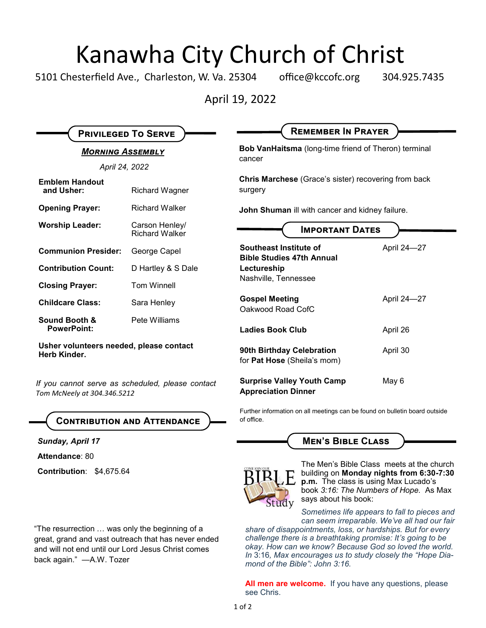## Kanawha City Church of Christ

5101 Chesterfield Ave., Charleston, W. Va. 25304 office@kccofc.org 304.925.7435

April 19, 2022

| <b>PRIVILEGED TO SERVE</b>                                                      |                                         | <b>REMEMBER IN PRAYER</b>                                              |             |
|---------------------------------------------------------------------------------|-----------------------------------------|------------------------------------------------------------------------|-------------|
| <b>MORNING ASSEMBLY</b>                                                         |                                         | <b>Bob VanHaitsma</b> (long-time friend of Theron) terminal<br>cancer  |             |
| April 24, 2022                                                                  |                                         |                                                                        |             |
| <b>Emblem Handout</b><br>and Usher:                                             | <b>Richard Wagner</b>                   | <b>Chris Marchese</b> (Grace's sister) recovering from back<br>surgery |             |
| <b>Opening Prayer:</b>                                                          | <b>Richard Walker</b>                   | <b>John Shuman</b> ill with cancer and kidney failure.                 |             |
| <b>Worship Leader:</b>                                                          | Carson Henley/<br><b>Richard Walker</b> | <b>IMPORTANT DATES</b>                                                 |             |
| <b>Communion Presider:</b>                                                      | George Capel                            | Southeast Institute of<br><b>Bible Studies 47th Annual</b>             | April 24-27 |
| <b>Contribution Count:</b>                                                      | D Hartley & S Dale                      | Lectureship                                                            |             |
| <b>Closing Prayer:</b>                                                          | <b>Tom Winnell</b>                      | Nashville, Tennessee                                                   |             |
| <b>Childcare Class:</b>                                                         | Sara Henley                             | <b>Gospel Meeting</b><br>Oakwood Road CofC                             | April 24-27 |
| Sound Booth &<br><b>PowerPoint:</b>                                             | Pete Williams                           | <b>Ladies Book Club</b>                                                | April 26    |
| Usher volunteers needed, please contact<br>Herb Kinder.                         |                                         | 90th Birthday Celebration<br>for Pat Hose (Sheila's mom)               | April 30    |
| If you cannot serve as scheduled, please contact<br>Tom McNeely at 304.346.5212 |                                         | <b>Surprise Valley Youth Camp</b><br><b>Appreciation Dinner</b>        | May 6       |

Further information on all meetings can be found on bulletin board outside of office.

## **Men's Bible Class**



The Men's Bible Class meets at the church building on **Monday nights from 6:30-7:30 p.m.** The class is using Max Lucado's book *3:16: The Numbers of Hope.* As Max says about his book:

*Sometimes life appears to fall to pieces and can seem irreparable. We've all had our fair* 

*share of disappointments, loss, or hardships. But for every challenge there is a breathtaking promise: It's going to be okay. How can we know? Because God so loved the world. In* 3:16*, Max encourages us to study closely the "Hope Diamond of the Bible": John 3:16.*

**All men are welcome.** If you have any questions, please see Chris.

**Contribution and Attendance**

*Sunday, April 17*

**Attendance**: 80

**Contribution**: \$4,675.64

"The resurrection … was only the beginning of a great, grand and vast outreach that has never ended and will not end until our Lord Jesus Christ comes back again." —A.W. Tozer